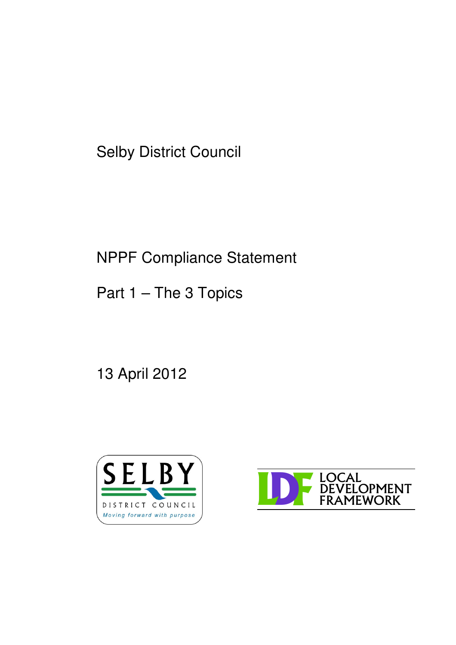Selby District Council

# NPPF Compliance Statement

Part 1 – The 3 Topics

13 April 2012



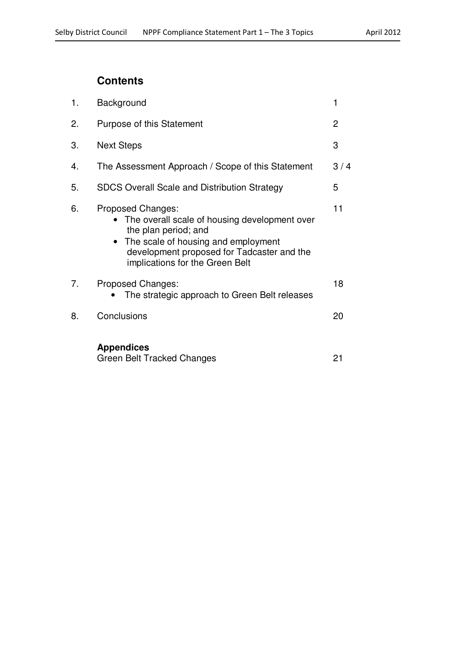# **Contents**

| 1. | Background                                                                                                                                                                                                                      | 1              |
|----|---------------------------------------------------------------------------------------------------------------------------------------------------------------------------------------------------------------------------------|----------------|
| 2. | Purpose of this Statement                                                                                                                                                                                                       | $\overline{2}$ |
| 3. | <b>Next Steps</b>                                                                                                                                                                                                               | 3              |
| 4. | The Assessment Approach / Scope of this Statement                                                                                                                                                                               | 3/4            |
| 5. | <b>SDCS Overall Scale and Distribution Strategy</b>                                                                                                                                                                             | 5              |
| 6. | Proposed Changes:<br>The overall scale of housing development over<br>the plan period; and<br>The scale of housing and employment<br>$\bullet$<br>development proposed for Tadcaster and the<br>implications for the Green Belt | 11             |
| 7. | Proposed Changes:<br>The strategic approach to Green Belt releases                                                                                                                                                              | 18             |
| 8. | Conclusions                                                                                                                                                                                                                     | 20             |
|    | <b>Appendices</b><br>Green Belt Tracked Changes                                                                                                                                                                                 | 21             |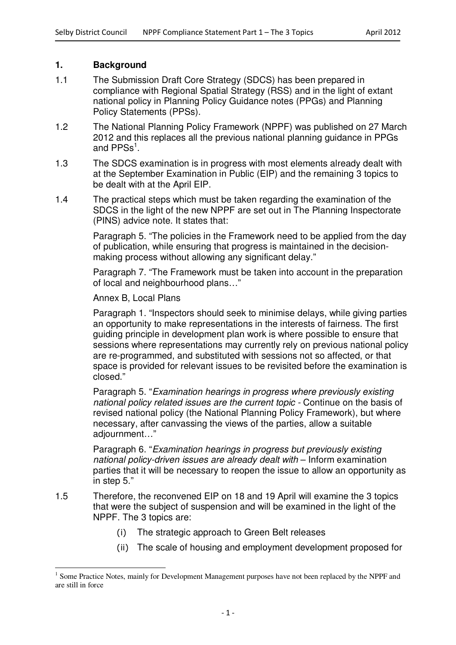## **1. Background**

- 1.1 The Submission Draft Core Strategy (SDCS) has been prepared in compliance with Regional Spatial Strategy (RSS) and in the light of extant national policy in Planning Policy Guidance notes (PPGs) and Planning Policy Statements (PPSs).
- 1.2 The National Planning Policy Framework (NPPF) was published on 27 March 2012 and this replaces all the previous national planning guidance in PPGs and  $PPSS<sup>1</sup>$ .
- 1.3 The SDCS examination is in progress with most elements already dealt with at the September Examination in Public (EIP) and the remaining 3 topics to be dealt with at the April EIP.
- 1.4 The practical steps which must be taken regarding the examination of the SDCS in the light of the new NPPF are set out in The Planning Inspectorate (PINS) advice note. It states that:

Paragraph 5. "The policies in the Framework need to be applied from the day of publication, while ensuring that progress is maintained in the decisionmaking process without allowing any significant delay."

Paragraph 7. "The Framework must be taken into account in the preparation of local and neighbourhood plans…"

#### Annex B, Local Plans

Paragraph 1. "Inspectors should seek to minimise delays, while giving parties an opportunity to make representations in the interests of fairness. The first guiding principle in development plan work is where possible to ensure that sessions where representations may currently rely on previous national policy are re-programmed, and substituted with sessions not so affected, or that space is provided for relevant issues to be revisited before the examination is closed."

Paragraph 5. "*Examination hearings in progress where previously existing national policy related issues are the current topic -* Continue on the basis of revised national policy (the National Planning Policy Framework), but where necessary, after canvassing the views of the parties, allow a suitable adjournment…"

Paragraph 6. "*Examination hearings in progress but previously existing national policy-driven issues are already dealt with* – Inform examination parties that it will be necessary to reopen the issue to allow an opportunity as in step 5."

- 1.5 Therefore, the reconvened EIP on 18 and 19 April will examine the 3 topics that were the subject of suspension and will be examined in the light of the NPPF. The 3 topics are:
	- $(i)$ The strategic approach to Green Belt releases
	- (ii) The scale of housing and employment development proposed for

<sup>&</sup>lt;sup>1</sup> Some Practice Notes, mainly for Development Management purposes have not been replaced by the NPPF and are still in force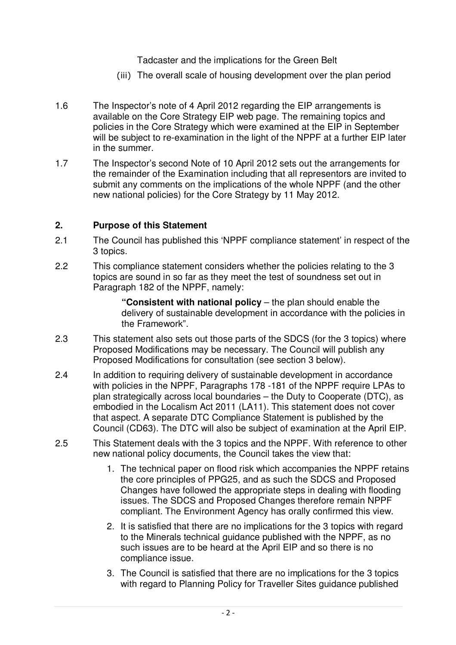Tadcaster and the implications for the Green Belt

- (iii) The overall scale of housing development over the plan period
- 1.6 The Inspector's note of 4 April 2012 regarding the EIP arrangements is available on the Core Strategy EIP web page. The remaining topics and policies in the Core Strategy which were examined at the EIP in September will be subject to re-examination in the light of the NPPF at a further EIP later in the summer.
- 1.7 The Inspector's second Note of 10 April 2012 sets out the arrangements for the remainder of the Examination including that all representors are invited to submit any comments on the implications of the whole NPPF (and the other new national policies) for the Core Strategy by 11 May 2012.

# **2. Purpose of this Statement**

- 2.1 The Council has published this 'NPPF compliance statement' in respect of the 3 topics.
- 2.2 This compliance statement considers whether the policies relating to the 3 topics are sound in so far as they meet the test of soundness set out in Paragraph 182 of the NPPF, namely:

**"Consistent with national policy** – the plan should enable the delivery of sustainable development in accordance with the policies in the Framework".

- 2.3 This statement also sets out those parts of the SDCS (for the 3 topics) where Proposed Modifications may be necessary. The Council will publish any Proposed Modifications for consultation (see section 3 below).
- 2.4 In addition to requiring delivery of sustainable development in accordance with policies in the NPPF, Paragraphs 178 -181 of the NPPF require LPAs to plan strategically across local boundaries – the Duty to Cooperate (DTC), as embodied in the Localism Act 2011 (LA11). This statement does not cover that aspect. A separate DTC Compliance Statement is published by the Council (CD63). The DTC will also be subject of examination at the April EIP.
- 2.5 This Statement deals with the 3 topics and the NPPF. With reference to other new national policy documents, the Council takes the view that:
	- 1. The technical paper on flood risk which accompanies the NPPF retains the core principles of PPG25, and as such the SDCS and Proposed Changes have followed the appropriate steps in dealing with flooding issues. The SDCS and Proposed Changes therefore remain NPPF compliant. The Environment Agency has orally confirmed this view.
	- 2. It is satisfied that there are no implications for the 3 topics with regard to the Minerals technical guidance published with the NPPF, as no such issues are to be heard at the April EIP and so there is no compliance issue.
	- 3. The Council is satisfied that there are no implications for the 3 topics with regard to Planning Policy for Traveller Sites guidance published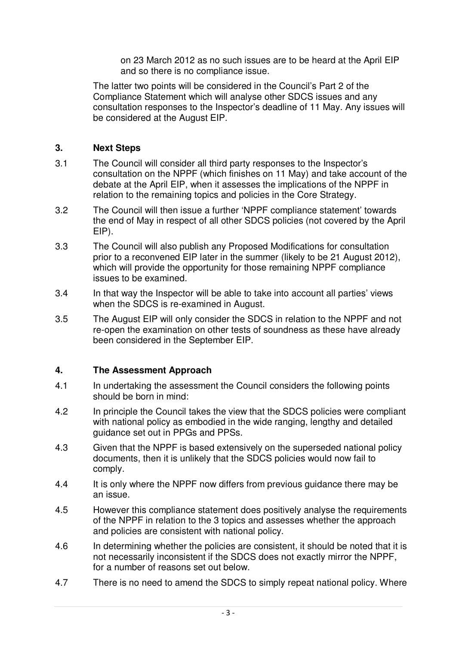on 23 March 2012 as no such issues are to be heard at the April EIP and so there is no compliance issue.

The latter two points will be considered in the Council's Part 2 of the Compliance Statement which will analyse other SDCS issues and any consultation responses to the Inspector's deadline of 11 May. Any issues will be considered at the August EIP.

# **3. Next Steps**

- 3.1 The Council will consider all third party responses to the Inspector's consultation on the NPPF (which finishes on 11 May) and take account of the debate at the April EIP, when it assesses the implications of the NPPF in relation to the remaining topics and policies in the Core Strategy.
- 3.2 The Council will then issue a further 'NPPF compliance statement' towards the end of May in respect of all other SDCS policies (not covered by the April EIP).
- 3.3 The Council will also publish any Proposed Modifications for consultation prior to a reconvened EIP later in the summer (likely to be 21 August 2012), which will provide the opportunity for those remaining NPPF compliance issues to be examined.
- 3.4 In that way the Inspector will be able to take into account all parties' views when the SDCS is re-examined in August.
- 3.5 The August EIP will only consider the SDCS in relation to the NPPF and not re-open the examination on other tests of soundness as these have already been considered in the September EIP.

# **4. The Assessment Approach**

- 4.1 In undertaking the assessment the Council considers the following points should be born in mind:
- 4.2 In principle the Council takes the view that the SDCS policies were compliant with national policy as embodied in the wide ranging, lengthy and detailed guidance set out in PPGs and PPSs.
- 4.3 Given that the NPPF is based extensively on the superseded national policy documents, then it is unlikely that the SDCS policies would now fail to comply.
- 4.4 It is only where the NPPF now differs from previous guidance there may be an issue.
- 4.5 However this compliance statement does positively analyse the requirements of the NPPF in relation to the 3 topics and assesses whether the approach and policies are consistent with national policy.
- 4.6 In determining whether the policies are consistent, it should be noted that it is not necessarily inconsistent if the SDCS does not exactly mirror the NPPF, for a number of reasons set out below.
- 4.7 There is no need to amend the SDCS to simply repeat national policy. Where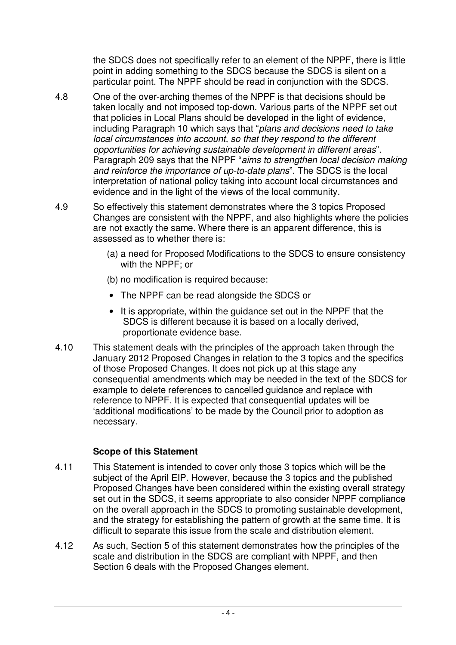the SDCS does not specifically refer to an element of the NPPF, there is little point in adding something to the SDCS because the SDCS is silent on a particular point. The NPPF should be read in conjunction with the SDCS.

- 4.8 One of the over-arching themes of the NPPF is that decisions should be taken locally and not imposed top-down. Various parts of the NPPF set out that policies in Local Plans should be developed in the light of evidence, including Paragraph 10 which says that "*plans and decisions need to take local circumstances into account, so that they respond to the different opportunities for achieving sustainable development in different areas*". Paragraph 209 says that the NPPF "*aims to strengthen local decision making and reinforce the importance of up-to-date plans*". The SDCS is the local interpretation of national policy taking into account local circumstances and evidence and in the light of the views of the local community.
- 4.9 So effectively this statement demonstrates where the 3 topics Proposed Changes are consistent with the NPPF, and also highlights where the policies are not exactly the same. Where there is an apparent difference, this is assessed as to whether there is:
	- (a) a need for Proposed Modifications to the SDCS to ensure consistency with the NPPF; or
	- (b) no modification is required because:
	- The NPPF can be read alongside the SDCS or
	- It is appropriate, within the guidance set out in the NPPF that the SDCS is different because it is based on a locally derived, proportionate evidence base.
- 4.10 This statement deals with the principles of the approach taken through the January 2012 Proposed Changes in relation to the 3 topics and the specifics of those Proposed Changes. It does not pick up at this stage any consequential amendments which may be needed in the text of the SDCS for example to delete references to cancelled guidance and replace with reference to NPPF. It is expected that consequential updates will be 'additional modifications' to be made by the Council prior to adoption as necessary.

# **Scope of this Statement**

- 4.11 This Statement is intended to cover only those 3 topics which will be the subject of the April EIP. However, because the 3 topics and the published Proposed Changes have been considered within the existing overall strategy set out in the SDCS, it seems appropriate to also consider NPPF compliance on the overall approach in the SDCS to promoting sustainable development, and the strategy for establishing the pattern of growth at the same time. It is difficult to separate this issue from the scale and distribution element.
- 4.12 As such, Section 5 of this statement demonstrates how the principles of the scale and distribution in the SDCS are compliant with NPPF, and then Section 6 deals with the Proposed Changes element.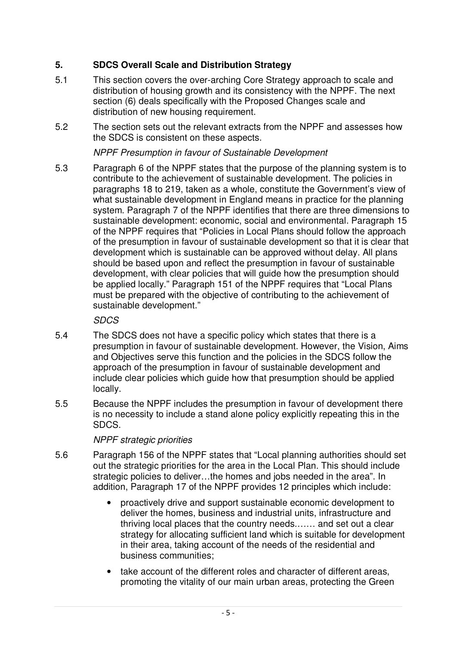# **5. SDCS Overall Scale and Distribution Strategy**

- 5.1 This section covers the over-arching Core Strategy approach to scale and distribution of housing growth and its consistency with the NPPF. The next section (6) deals specifically with the Proposed Changes scale and distribution of new housing requirement.
- 5.2 The section sets out the relevant extracts from the NPPF and assesses how the SDCS is consistent on these aspects.

# *NPPF Presumption in favour of Sustainable Development*

5.3 Paragraph 6 of the NPPF states that the purpose of the planning system is to contribute to the achievement of sustainable development. The policies in paragraphs 18 to 219, taken as a whole, constitute the Government's view of what sustainable development in England means in practice for the planning system. Paragraph 7 of the NPPF identifies that there are three dimensions to sustainable development: economic, social and environmental. Paragraph 15 of the NPPF requires that "Policies in Local Plans should follow the approach of the presumption in favour of sustainable development so that it is clear that development which is sustainable can be approved without delay. All plans should be based upon and reflect the presumption in favour of sustainable development, with clear policies that will guide how the presumption should be applied locally." Paragraph 151 of the NPPF requires that "Local Plans must be prepared with the objective of contributing to the achievement of sustainable development."

*SDCS*

- 5.4 The SDCS does not have a specific policy which states that there is a presumption in favour of sustainable development. However, the Vision, Aims and Objectives serve this function and the policies in the SDCS follow the approach of the presumption in favour of sustainable development and include clear policies which guide how that presumption should be applied locally.
- 5.5 Because the NPPF includes the presumption in favour of development there is no necessity to include a stand alone policy explicitly repeating this in the SDCS.

# *NPPF strategic priorities*

- 5.6 Paragraph 156 of the NPPF states that "Local planning authorities should set out the strategic priorities for the area in the Local Plan. This should include strategic policies to deliver…the homes and jobs needed in the area". In addition, Paragraph 17 of the NPPF provides 12 principles which include:
	- proactively drive and support sustainable economic development to deliver the homes, business and industrial units, infrastructure and thriving local places that the country needs.…… and set out a clear strategy for allocating sufficient land which is suitable for development in their area, taking account of the needs of the residential and business communities;
	- take account of the different roles and character of different areas, promoting the vitality of our main urban areas, protecting the Green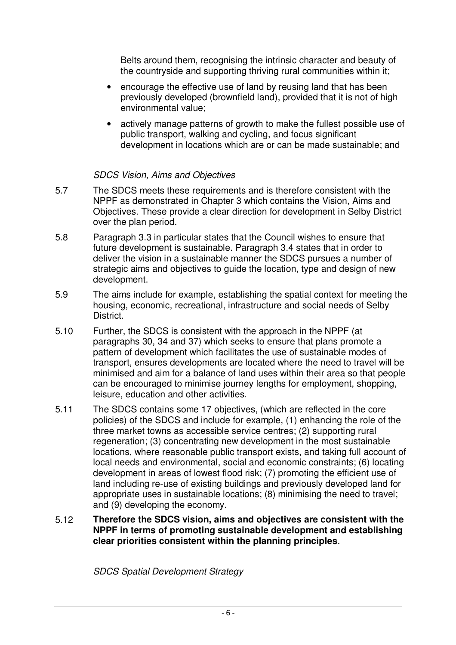Belts around them, recognising the intrinsic character and beauty of the countryside and supporting thriving rural communities within it;

- encourage the effective use of land by reusing land that has been previously developed (brownfield land), provided that it is not of high environmental value;
- actively manage patterns of growth to make the fullest possible use of public transport, walking and cycling, and focus significant development in locations which are or can be made sustainable; and

## *SDCS Vision, Aims and Objectives*

- 5.7 The SDCS meets these requirements and is therefore consistent with the NPPF as demonstrated in Chapter 3 which contains the Vision, Aims and Objectives. These provide a clear direction for development in Selby District over the plan period.
- 5.8 Paragraph 3.3 in particular states that the Council wishes to ensure that future development is sustainable. Paragraph 3.4 states that in order to deliver the vision in a sustainable manner the SDCS pursues a number of strategic aims and objectives to guide the location, type and design of new development.
- 5.9 The aims include for example, establishing the spatial context for meeting the housing, economic, recreational, infrastructure and social needs of Selby **District**
- 5.10 Further, the SDCS is consistent with the approach in the NPPF (at paragraphs 30, 34 and 37) which seeks to ensure that plans promote a pattern of development which facilitates the use of sustainable modes of transport, ensures developments are located where the need to travel will be minimised and aim for a balance of land uses within their area so that people can be encouraged to minimise journey lengths for employment, shopping, leisure, education and other activities.
- 5.11 The SDCS contains some 17 objectives, (which are reflected in the core policies) of the SDCS and include for example, (1) enhancing the role of the three market towns as accessible service centres; (2) supporting rural regeneration; (3) concentrating new development in the most sustainable locations, where reasonable public transport exists, and taking full account of local needs and environmental, social and economic constraints; (6) locating development in areas of lowest flood risk; (7) promoting the efficient use of land including re-use of existing buildings and previously developed land for appropriate uses in sustainable locations; (8) minimising the need to travel; and (9) developing the economy.
- 5.12 **Therefore the SDCS vision, aims and objectives are consistent with the NPPF in terms of promoting sustainable development and establishing clear priorities consistent within the planning principles**.

*SDCS Spatial Development Strategy*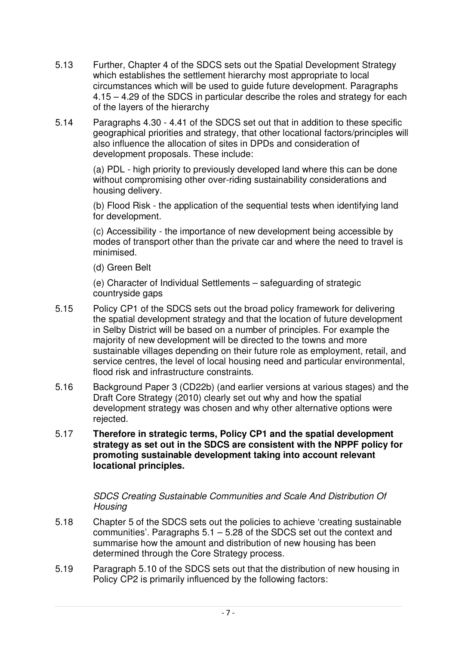- 5.13 Further, Chapter 4 of the SDCS sets out the Spatial Development Strategy which establishes the settlement hierarchy most appropriate to local circumstances which will be used to guide future development. Paragraphs 4.15 – 4.29 of the SDCS in particular describe the roles and strategy for each of the layers of the hierarchy
- 5.14 Paragraphs 4.30 4.41 of the SDCS set out that in addition to these specific geographical priorities and strategy, that other locational factors/principles will also influence the allocation of sites in DPDs and consideration of development proposals. These include:

(a) PDL - high priority to previously developed land where this can be done without compromising other over-riding sustainability considerations and housing delivery.

(b) Flood Risk - the application of the sequential tests when identifying land for development.

(c) Accessibility - the importance of new development being accessible by modes of transport other than the private car and where the need to travel is minimised.

(d) Green Belt

(e) Character of Individual Settlements – safeguarding of strategic countryside gaps

- 5.15 Policy CP1 of the SDCS sets out the broad policy framework for delivering the spatial development strategy and that the location of future development in Selby District will be based on a number of principles. For example the majority of new development will be directed to the towns and more sustainable villages depending on their future role as employment, retail, and service centres, the level of local housing need and particular environmental, flood risk and infrastructure constraints.
- 5.16 Background Paper 3 (CD22b) (and earlier versions at various stages) and the Draft Core Strategy (2010) clearly set out why and how the spatial development strategy was chosen and why other alternative options were rejected.
- 5.17 **Therefore in strategic terms, Policy CP1 and the spatial development strategy as set out in the SDCS are consistent with the NPPF policy for promoting sustainable development taking into account relevant locational principles.**

# *SDCS Creating Sustainable Communities and Scale And Distribution Of Housing*

- 5.18 Chapter 5 of the SDCS sets out the policies to achieve 'creating sustainable communities'. Paragraphs 5.1 – 5.28 of the SDCS set out the context and summarise how the amount and distribution of new housing has been determined through the Core Strategy process.
- 5.19 Paragraph 5.10 of the SDCS sets out that the distribution of new housing in Policy CP2 is primarily influenced by the following factors: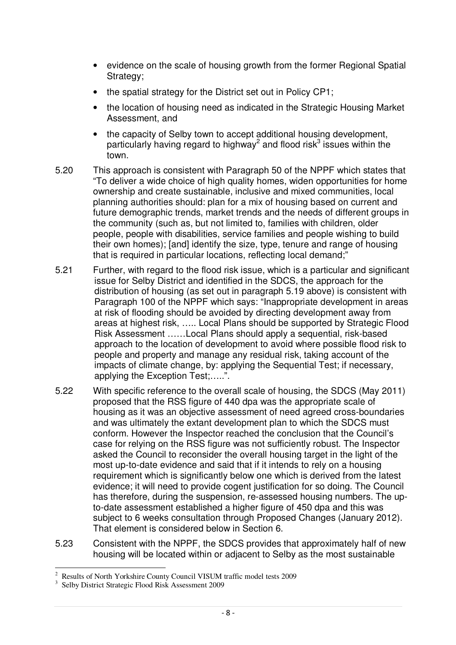- evidence on the scale of housing growth from the former Regional Spatial Strategy:
- the spatial strategy for the District set out in Policy CP1:
- the location of housing need as indicated in the Strategic Housing Market Assessment, and
- the capacity of Selby town to accept additional housing development, particularly having regard to highway<sup>2</sup> and flood risk<sup>3</sup> issues within the town.
- 5.20 This approach is consistent with Paragraph 50 of the NPPF which states that "To deliver a wide choice of high quality homes, widen opportunities for home ownership and create sustainable, inclusive and mixed communities, local planning authorities should: plan for a mix of housing based on current and future demographic trends, market trends and the needs of different groups in the community (such as, but not limited to, families with children, older people, people with disabilities, service families and people wishing to build their own homes); [and] identify the size, type, tenure and range of housing that is required in particular locations, reflecting local demand;"
- 5.21 Further, with regard to the flood risk issue, which is a particular and significant issue for Selby District and identified in the SDCS, the approach for the distribution of housing (as set out in paragraph 5.19 above) is consistent with Paragraph 100 of the NPPF which says: "Inappropriate development in areas at risk of flooding should be avoided by directing development away from areas at highest risk, ….. Local Plans should be supported by Strategic Flood Risk Assessment ……Local Plans should apply a sequential, risk-based approach to the location of development to avoid where possible flood risk to people and property and manage any residual risk, taking account of the impacts of climate change, by: applying the Sequential Test; if necessary, applying the Exception Test;…..".
- 5.22 With specific reference to the overall scale of housing, the SDCS (May 2011) proposed that the RSS figure of 440 dpa was the appropriate scale of housing as it was an objective assessment of need agreed cross-boundaries and was ultimately the extant development plan to which the SDCS must conform. However the Inspector reached the conclusion that the Council's case for relying on the RSS figure was not sufficiently robust. The Inspector asked the Council to reconsider the overall housing target in the light of the most up-to-date evidence and said that if it intends to rely on a housing requirement which is significantly below one which is derived from the latest evidence; it will need to provide cogent justification for so doing. The Council has therefore, during the suspension, re-assessed housing numbers. The upto-date assessment established a higher figure of 450 dpa and this was subject to 6 weeks consultation through Proposed Changes (January 2012). That element is considered below in Section 6.
- 5.23 Consistent with the NPPF, the SDCS provides that approximately half of new housing will be located within or adjacent to Selby as the most sustainable

<sup>2</sup> Results of North Yorkshire County Council VISUM traffic model tests 2009

<sup>3</sup> Selby District Strategic Flood Risk Assessment 2009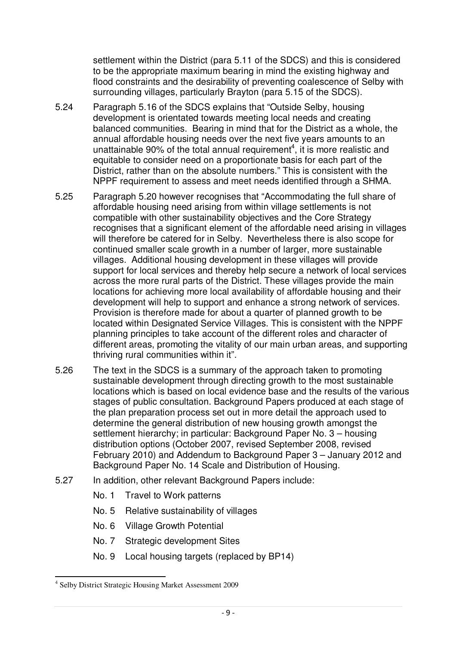settlement within the District (para 5.11 of the SDCS) and this is considered to be the appropriate maximum bearing in mind the existing highway and flood constraints and the desirability of preventing coalescence of Selby with surrounding villages, particularly Brayton (para 5.15 of the SDCS).

- 5.24 Paragraph 5.16 of the SDCS explains that "Outside Selby, housing development is orientated towards meeting local needs and creating balanced communities. Bearing in mind that for the District as a whole, the annual affordable housing needs over the next five years amounts to an unattainable 90% of the total annual requirement<sup>4</sup>, it is more realistic and equitable to consider need on a proportionate basis for each part of the District, rather than on the absolute numbers." This is consistent with the NPPF requirement to assess and meet needs identified through a SHMA.
- 5.25 Paragraph 5.20 however recognises that "Accommodating the full share of affordable housing need arising from within village settlements is not compatible with other sustainability objectives and the Core Strategy recognises that a significant element of the affordable need arising in villages will therefore be catered for in Selby. Nevertheless there is also scope for continued smaller scale growth in a number of larger, more sustainable villages. Additional housing development in these villages will provide support for local services and thereby help secure a network of local services across the more rural parts of the District. These villages provide the main locations for achieving more local availability of affordable housing and their development will help to support and enhance a strong network of services. Provision is therefore made for about a quarter of planned growth to be located within Designated Service Villages. This is consistent with the NPPF planning principles to take account of the different roles and character of different areas, promoting the vitality of our main urban areas, and supporting thriving rural communities within it".
- 5.26 The text in the SDCS is a summary of the approach taken to promoting sustainable development through directing growth to the most sustainable locations which is based on local evidence base and the results of the various stages of public consultation. Background Papers produced at each stage of the plan preparation process set out in more detail the approach used to determine the general distribution of new housing growth amongst the settlement hierarchy; in particular: Background Paper No. 3 – housing distribution options (October 2007, revised September 2008, revised February 2010) and Addendum to Background Paper 3 – January 2012 and Background Paper No. 14 Scale and Distribution of Housing.
- 5.27 In addition, other relevant Background Papers include:
	- No. 1 Travel to Work patterns
	- No. 5 Relative sustainability of villages
	- No. 6 Village Growth Potential
	- No. 7 Strategic development Sites
	- No. 9 Local housing targets (replaced by BP14)

4 Selby District Strategic Housing Market Assessment 2009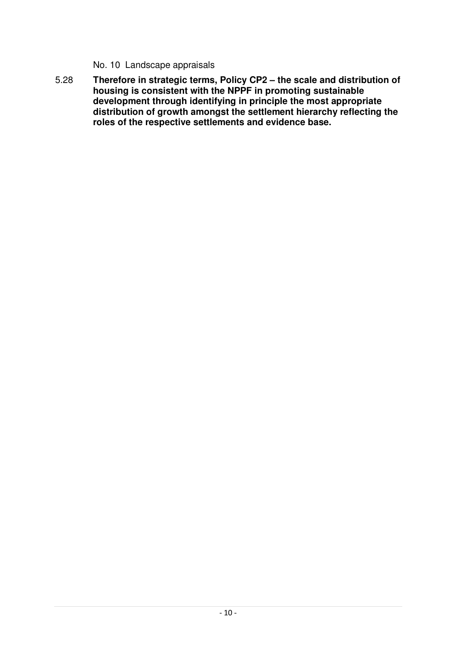No. 10 Landscape appraisals

5.28 **Therefore in strategic terms, Policy CP2 – the scale and distribution of housing is consistent with the NPPF in promoting sustainable development through identifying in principle the most appropriate distribution of growth amongst the settlement hierarchy reflecting the roles of the respective settlements and evidence base.**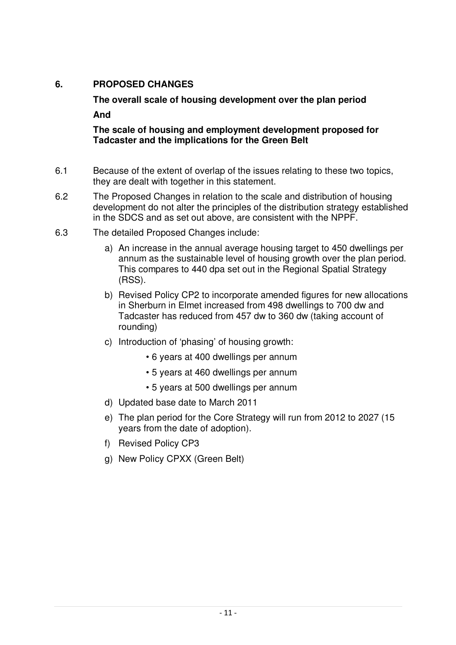# **6. PROPOSED CHANGES**

**The overall scale of housing development over the plan period And**

**The scale of housing and employment development proposed for Tadcaster and the implications for the Green Belt**

- 6.1 Because of the extent of overlap of the issues relating to these two topics, they are dealt with together in this statement.
- 6.2 The Proposed Changes in relation to the scale and distribution of housing development do not alter the principles of the distribution strategy established in the SDCS and as set out above, are consistent with the NPPF.
- 6.3 The detailed Proposed Changes include:
	- a) An increase in the annual average housing target to 450 dwellings per annum as the sustainable level of housing growth over the plan period. This compares to 440 dpa set out in the Regional Spatial Strategy (RSS).
	- b) Revised Policy CP2 to incorporate amended figures for new allocations in Sherburn in Elmet increased from 498 dwellings to 700 dw and Tadcaster has reduced from 457 dw to 360 dw (taking account of rounding)
	- c) Introduction of 'phasing' of housing growth:
		- 6 years at 400 dwellings per annum
		- 5 years at 460 dwellings per annum
		- 5 years at 500 dwellings per annum
	- d) Updated base date to March 2011
	- e) The plan period for the Core Strategy will run from 2012 to 2027 (15 years from the date of adoption).
	- f) Revised Policy CP3
	- g) New Policy CPXX (Green Belt)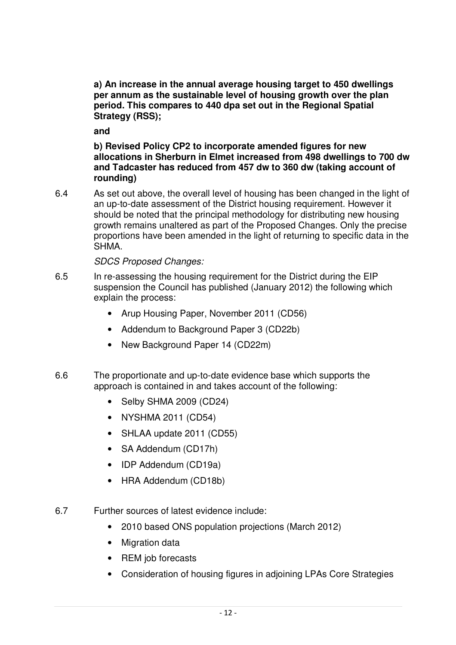**a) An increase in the annual average housing target to 450 dwellings per annum as the sustainable level of housing growth over the plan period. This compares to 440 dpa set out in the Regional Spatial Strategy (RSS);**

**and**

**b) Revised Policy CP2 to incorporate amended figures for new allocations in Sherburn in Elmet increased from 498 dwellings to 700 dw and Tadcaster has reduced from 457 dw to 360 dw (taking account of rounding)**

6.4 As set out above, the overall level of housing has been changed in the light of an up-to-date assessment of the District housing requirement. However it should be noted that the principal methodology for distributing new housing growth remains unaltered as part of the Proposed Changes. Only the precise proportions have been amended in the light of returning to specific data in the SHMA.

# *SDCS Proposed Changes:*

- 6.5 In re-assessing the housing requirement for the District during the EIP suspension the Council has published (January 2012) the following which explain the process:
	- Arup Housing Paper, November 2011 (CD56)
	- Addendum to Background Paper 3 (CD22b)
	- New Background Paper 14 (CD22m)
- 6.6 The proportionate and up-to-date evidence base which supports the approach is contained in and takes account of the following:
	- Selby SHMA 2009 (CD24)
	- NYSHMA 2011 (CD54)
	- SHLAA update 2011 (CD55)
	- SA Addendum (CD17h)
	- IDP Addendum (CD19a)
	- HRA Addendum (CD18b)
- 6.7 Further sources of latest evidence include:
	- 2010 based ONS population projections (March 2012)
	- Migration data
	- REM job forecasts
	- Consideration of housing figures in adjoining LPAs Core Strategies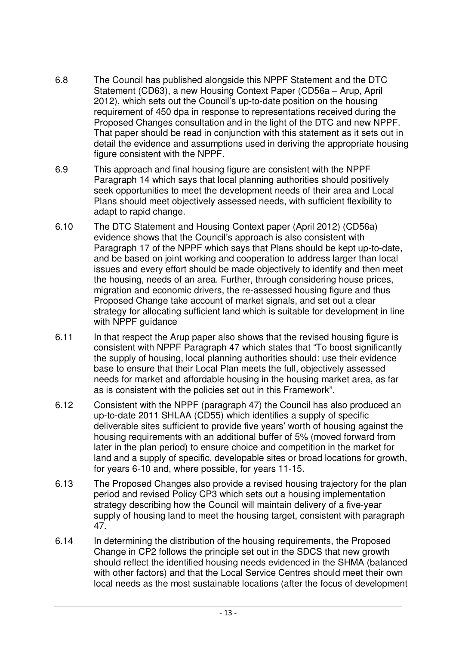- 6.8 The Council has published alongside this NPPF Statement and the DTC Statement (CD63), a new Housing Context Paper (CD56a – Arup, April 2012), which sets out the Council's up-to-date position on the housing requirement of 450 dpa in response to representations received during the Proposed Changes consultation and in the light of the DTC and new NPPF. That paper should be read in conjunction with this statement as it sets out in detail the evidence and assumptions used in deriving the appropriate housing figure consistent with the NPPF.
- 6.9 This approach and final housing figure are consistent with the NPPF Paragraph 14 which says that local planning authorities should positively seek opportunities to meet the development needs of their area and Local Plans should meet objectively assessed needs, with sufficient flexibility to adapt to rapid change.
- 6.10 The DTC Statement and Housing Context paper (April 2012) (CD56a) evidence shows that the Council's approach is also consistent with Paragraph 17 of the NPPF which says that Plans should be kept up-to-date, and be based on joint working and cooperation to address larger than local issues and every effort should be made objectively to identify and then meet the housing, needs of an area. Further, through considering house prices, migration and economic drivers, the re-assessed housing figure and thus Proposed Change take account of market signals, and set out a clear strategy for allocating sufficient land which is suitable for development in line with NPPF guidance
- 6.11 In that respect the Arup paper also shows that the revised housing figure is consistent with NPPF Paragraph 47 which states that "To boost significantly the supply of housing, local planning authorities should: use their evidence base to ensure that their Local Plan meets the full, objectively assessed needs for market and affordable housing in the housing market area, as far as is consistent with the policies set out in this Framework".
- 6.12 Consistent with the NPPF (paragraph 47) the Council has also produced an up-to-date 2011 SHLAA (CD55) which identifies a supply of specific deliverable sites sufficient to provide five years' worth of housing against the housing requirements with an additional buffer of 5% (moved forward from later in the plan period) to ensure choice and competition in the market for land and a supply of specific, developable sites or broad locations for growth, for years 6-10 and, where possible, for years 11-15.
- 6.13 The Proposed Changes also provide a revised housing trajectory for the plan period and revised Policy CP3 which sets out a housing implementation strategy describing how the Council will maintain delivery of a five-year supply of housing land to meet the housing target, consistent with paragraph 47.
- 6.14 In determining the distribution of the housing requirements, the Proposed Change in CP2 follows the principle set out in the SDCS that new growth should reflect the identified housing needs evidenced in the SHMA (balanced with other factors) and that the Local Service Centres should meet their own local needs as the most sustainable locations (after the focus of development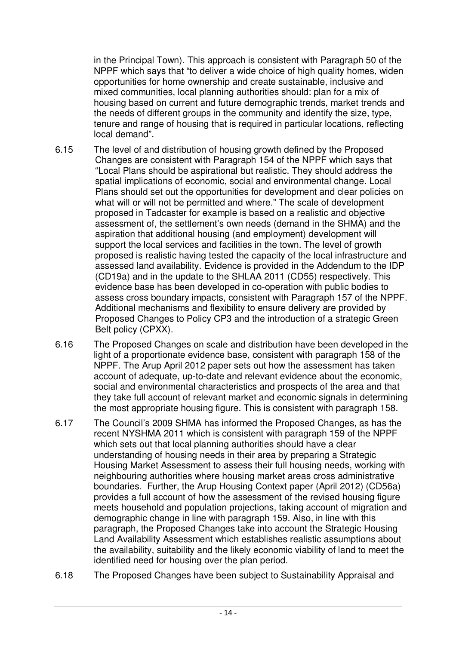in the Principal Town). This approach is consistent with Paragraph 50 of the NPPF which says that "to deliver a wide choice of high quality homes, widen opportunities for home ownership and create sustainable, inclusive and mixed communities, local planning authorities should: plan for a mix of housing based on current and future demographic trends, market trends and the needs of different groups in the community and identify the size, type, tenure and range of housing that is required in particular locations, reflecting local demand".

- 6.15 The level of and distribution of housing growth defined by the Proposed Changes are consistent with Paragraph 154 of the NPPF which says that "Local Plans should be aspirational but realistic. They should address the spatial implications of economic, social and environmental change. Local Plans should set out the opportunities for development and clear policies on what will or will not be permitted and where." The scale of development proposed in Tadcaster for example is based on a realistic and objective assessment of, the settlement's own needs (demand in the SHMA) and the aspiration that additional housing (and employment) development will support the local services and facilities in the town. The level of growth proposed is realistic having tested the capacity of the local infrastructure and assessed land availability. Evidence is provided in the Addendum to the IDP (CD19a) and in the update to the SHLAA 2011 (CD55) respectively. This evidence base has been developed in co-operation with public bodies to assess cross boundary impacts, consistent with Paragraph 157 of the NPPF. Additional mechanisms and flexibility to ensure delivery are provided by Proposed Changes to Policy CP3 and the introduction of a strategic Green Belt policy (CPXX).
- 6.16 The Proposed Changes on scale and distribution have been developed in the light of a proportionate evidence base, consistent with paragraph 158 of the NPPF. The Arup April 2012 paper sets out how the assessment has taken account of adequate, up-to-date and relevant evidence about the economic, social and environmental characteristics and prospects of the area and that they take full account of relevant market and economic signals in determining the most appropriate housing figure. This is consistent with paragraph 158.
- 6.17 The Council's 2009 SHMA has informed the Proposed Changes, as has the recent NYSHMA 2011 which is consistent with paragraph 159 of the NPPF which sets out that local planning authorities should have a clear understanding of housing needs in their area by preparing a Strategic Housing Market Assessment to assess their full housing needs, working with neighbouring authorities where housing market areas cross administrative boundaries. Further, the Arup Housing Context paper (April 2012) (CD56a) provides a full account of how the assessment of the revised housing figure meets household and population projections, taking account of migration and demographic change in line with paragraph 159. Also, in line with this paragraph, the Proposed Changes take into account the Strategic Housing Land Availability Assessment which establishes realistic assumptions about the availability, suitability and the likely economic viability of land to meet the identified need for housing over the plan period.
- 6.18 The Proposed Changes have been subject to Sustainability Appraisal and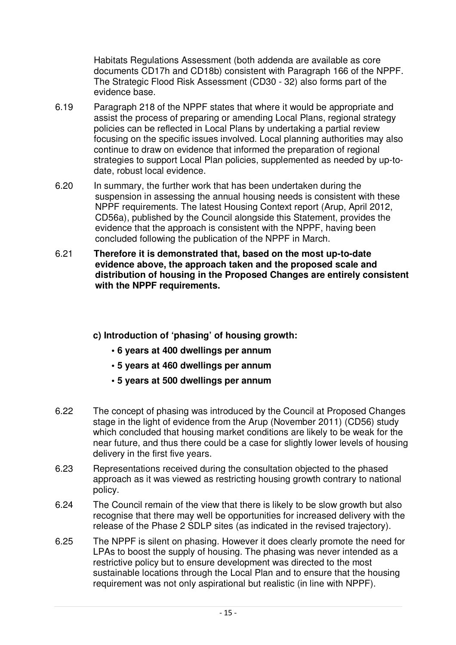Habitats Regulations Assessment (both addenda are available as core documents CD17h and CD18b) consistent with Paragraph 166 of the NPPF. The Strategic Flood Risk Assessment (CD30 - 32) also forms part of the evidence base.

- 6.19 Paragraph 218 of the NPPF states that where it would be appropriate and assist the process of preparing or amending Local Plans, regional strategy policies can be reflected in Local Plans by undertaking a partial review focusing on the specific issues involved. Local planning authorities may also continue to draw on evidence that informed the preparation of regional strategies to support Local Plan policies, supplemented as needed by up-todate, robust local evidence.
- 6.20 In summary, the further work that has been undertaken during the suspension in assessing the annual housing needs is consistent with these NPPF requirements. The latest Housing Context report (Arup, April 2012, CD56a), published by the Council alongside this Statement, provides the evidence that the approach is consistent with the NPPF, having been concluded following the publication of the NPPF in March.
- 6.21 **Therefore it is demonstrated that, based on the most up-to-date evidence above, the approach taken and the proposed scale and distribution of housing in the Proposed Changes are entirely consistent with the NPPF requirements.**
	- **c) Introduction of 'phasing' of housing growth:**
		- **• 6 years at 400 dwellings per annum**
		- **• 5 years at 460 dwellings per annum**
		- **• 5 years at 500 dwellings per annum**
- 6.22 The concept of phasing was introduced by the Council at Proposed Changes stage in the light of evidence from the Arup (November 2011) (CD56) study which concluded that housing market conditions are likely to be weak for the near future, and thus there could be a case for slightly lower levels of housing delivery in the first five years.
- 6.23 Representations received during the consultation objected to the phased approach as it was viewed as restricting housing growth contrary to national policy.
- 6.24 The Council remain of the view that there is likely to be slow growth but also recognise that there may well be opportunities for increased delivery with the release of the Phase 2 SDLP sites (as indicated in the revised trajectory).
- 6.25 The NPPF is silent on phasing. However it does clearly promote the need for LPAs to boost the supply of housing. The phasing was never intended as a restrictive policy but to ensure development was directed to the most sustainable locations through the Local Plan and to ensure that the housing requirement was not only aspirational but realistic (in line with NPPF).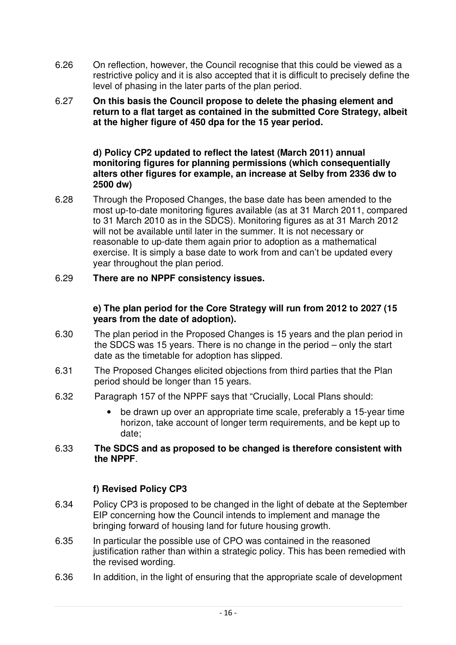- 6.26 On reflection, however, the Council recognise that this could be viewed as a restrictive policy and it is also accepted that it is difficult to precisely define the level of phasing in the later parts of the plan period.
- 6.27 **On this basis the Council propose to delete the phasing element and return to a flat target as contained in the submitted Core Strategy, albeit at the higher figure of 450 dpa for the 15 year period.**

#### **d) Policy CP2 updated to reflect the latest (March 2011) annual monitoring figures for planning permissions (which consequentially alters other figures for example, an increase at Selby from 2336 dw to 2500 dw)**

6.28 Through the Proposed Changes, the base date has been amended to the most up-to-date monitoring figures available (as at 31 March 2011, compared to 31 March 2010 as in the SDCS). Monitoring figures as at 31 March 2012 will not be available until later in the summer. It is not necessary or reasonable to up-date them again prior to adoption as a mathematical exercise. It is simply a base date to work from and can't be updated every year throughout the plan period.

# 6.29 **There are no NPPF consistency issues.**

## **e) The plan period for the Core Strategy will run from 2012 to 2027 (15 years from the date of adoption).**

- 6.30 The plan period in the Proposed Changes is 15 years and the plan period in the SDCS was 15 years. There is no change in the period – only the start date as the timetable for adoption has slipped.
- 6.31 The Proposed Changes elicited objections from third parties that the Plan period should be longer than 15 years.
- 6.32 Paragraph 157 of the NPPF says that "Crucially, Local Plans should:
	- be drawn up over an appropriate time scale, preferably a 15-year time horizon, take account of longer term requirements, and be kept up to date;

## 6.33 **The SDCS and as proposed to be changed is therefore consistent with the NPPF**.

# **f) Revised Policy CP3**

- 6.34 Policy CP3 is proposed to be changed in the light of debate at the September EIP concerning how the Council intends to implement and manage the bringing forward of housing land for future housing growth.
- 6.35 In particular the possible use of CPO was contained in the reasoned justification rather than within a strategic policy. This has been remedied with the revised wording.
- 6.36 In addition, in the light of ensuring that the appropriate scale of development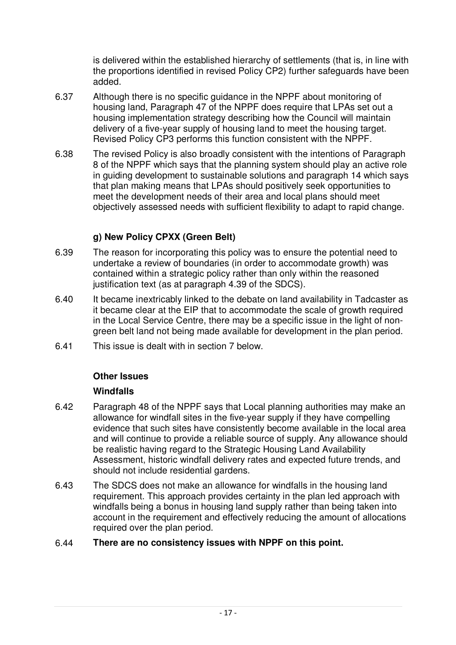is delivered within the established hierarchy of settlements (that is, in line with the proportions identified in revised Policy CP2) further safeguards have been added.

- 6.37 Although there is no specific guidance in the NPPF about monitoring of housing land, Paragraph 47 of the NPPF does require that LPAs set out a housing implementation strategy describing how the Council will maintain delivery of a five-year supply of housing land to meet the housing target. Revised Policy CP3 performs this function consistent with the NPPF.
- 6.38 The revised Policy is also broadly consistent with the intentions of Paragraph 8 of the NPPF which says that the planning system should play an active role in guiding development to sustainable solutions and paragraph 14 which says that plan making means that LPAs should positively seek opportunities to meet the development needs of their area and local plans should meet objectively assessed needs with sufficient flexibility to adapt to rapid change.

# **g) New Policy CPXX (Green Belt)**

- 6.39 The reason for incorporating this policy was to ensure the potential need to undertake a review of boundaries (in order to accommodate growth) was contained within a strategic policy rather than only within the reasoned justification text (as at paragraph 4.39 of the SDCS).
- 6.40 It became inextricably linked to the debate on land availability in Tadcaster as it became clear at the EIP that to accommodate the scale of growth required in the Local Service Centre, there may be a specific issue in the light of nongreen belt land not being made available for development in the plan period.
- 6.41 This issue is dealt with in section 7 below.

# **Other Issues**

# **Windfalls**

- 6.42 Paragraph 48 of the NPPF says that Local planning authorities may make an allowance for windfall sites in the five-year supply if they have compelling evidence that such sites have consistently become available in the local area and will continue to provide a reliable source of supply. Any allowance should be realistic having regard to the Strategic Housing Land Availability Assessment, historic windfall delivery rates and expected future trends, and should not include residential gardens.
- 6.43 The SDCS does not make an allowance for windfalls in the housing land requirement. This approach provides certainty in the plan led approach with windfalls being a bonus in housing land supply rather than being taken into account in the requirement and effectively reducing the amount of allocations required over the plan period.

# 6.44 **There are no consistency issues with NPPF on this point.**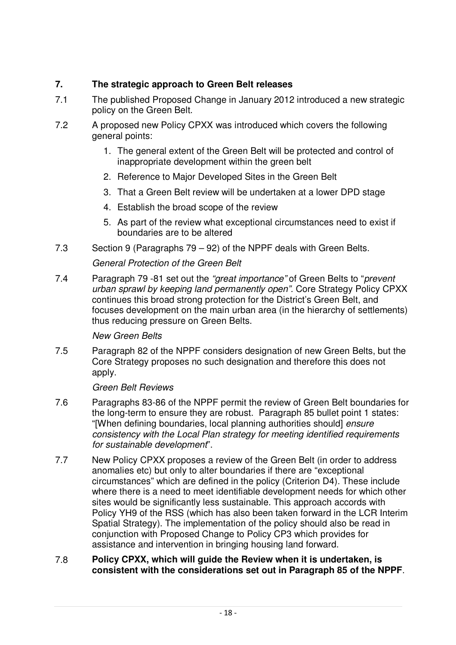# **7. The strategic approach to Green Belt releases**

- 7.1 The published Proposed Change in January 2012 introduced a new strategic policy on the Green Belt.
- 7.2 A proposed new Policy CPXX was introduced which covers the following general points:
	- 1. The general extent of the Green Belt will be protected and control of inappropriate development within the green belt
	- 2. Reference to Major Developed Sites in the Green Belt
	- 3. That a Green Belt review will be undertaken at a lower DPD stage
	- 4. Establish the broad scope of the review
	- 5. As part of the review what exceptional circumstances need to exist if boundaries are to be altered
- 7.3 Section 9 (Paragraphs 79 92) of the NPPF deals with Green Belts.

# *General Protection of the Green Belt*

7.4 Paragraph 79 -81 set out the *"great importance"* of Green Belts to "*prevent urban sprawl by keeping land permanently open".* Core Strategy Policy CPXX continues this broad strong protection for the District's Green Belt, and focuses development on the main urban area (in the hierarchy of settlements) thus reducing pressure on Green Belts.

## *New Green Belts*

7.5 Paragraph 82 of the NPPF considers designation of new Green Belts, but the Core Strategy proposes no such designation and therefore this does not apply.

## *Green Belt Reviews*

- 7.6 Paragraphs 83-86 of the NPPF permit the review of Green Belt boundaries for the long-term to ensure they are robust. Paragraph 85 bullet point 1 states: "[When defining boundaries, local planning authorities should] *ensure consistency with the Local Plan strategy for meeting identified requirements for sustainable development*".
- 7.7 New Policy CPXX proposes a review of the Green Belt (in order to address anomalies etc) but only to alter boundaries if there are "exceptional circumstances" which are defined in the policy (Criterion D4). These include where there is a need to meet identifiable development needs for which other sites would be significantly less sustainable. This approach accords with Policy YH9 of the RSS (which has also been taken forward in the LCR Interim Spatial Strategy). The implementation of the policy should also be read in conjunction with Proposed Change to Policy CP3 which provides for assistance and intervention in bringing housing land forward.

## 7.8 **Policy CPXX, which will guide the Review when it is undertaken, is consistent with the considerations set out in Paragraph 85 of the NPPF**.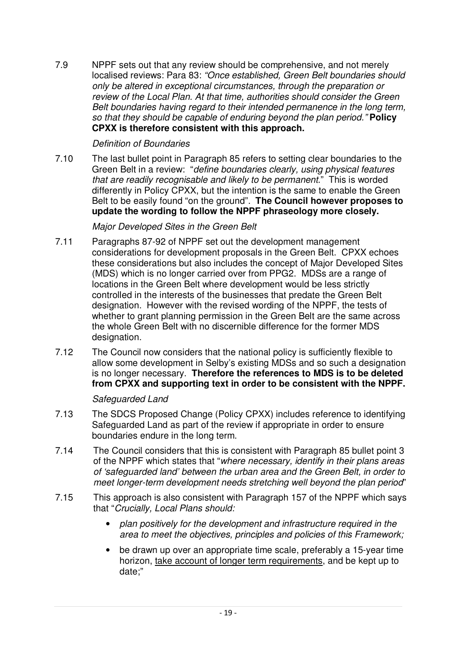7.9 NPPF sets out that any review should be comprehensive, and not merely localised reviews: Para 83: *"Once established, Green Belt boundaries should only be altered in exceptional circumstances, through the preparation or review of the Local Plan. At that time, authorities should consider the Green Belt boundaries having regard to their intended permanence in the long term, so that they should be capable of enduring beyond the plan period."* **Policy CPXX is therefore consistent with this approach.**

## *Definition of Boundaries*

7.10 The last bullet point in Paragraph 85 refers to setting clear boundaries to the Green Belt in a review: "*define boundaries clearly, using physical features that are readily recognisable and likely to be permanent*." This is worded differently in Policy CPXX, but the intention is the same to enable the Green Belt to be easily found "on the ground". **The Council however proposes to update the wording to follow the NPPF phraseology more closely.**

# *Major Developed Sites in the Green Belt*

- 7.11 Paragraphs 87-92 of NPPF set out the development management considerations for development proposals in the Green Belt. CPXX echoes these considerations but also includes the concept of Major Developed Sites (MDS) which is no longer carried over from PPG2. MDSs are a range of locations in the Green Belt where development would be less strictly controlled in the interests of the businesses that predate the Green Belt designation. However with the revised wording of the NPPF, the tests of whether to grant planning permission in the Green Belt are the same across the whole Green Belt with no discernible difference for the former MDS designation.
- 7.12 The Council now considers that the national policy is sufficiently flexible to allow some development in Selby's existing MDSs and so such a designation is no longer necessary. **Therefore the references to MDS is to be deleted from CPXX and supporting text in order to be consistent with the NPPF.**

# *Safeguarded Land*

- 7.13 The SDCS Proposed Change (Policy CPXX) includes reference to identifying Safeguarded Land as part of the review if appropriate in order to ensure boundaries endure in the long term.
- 7.14 The Council considers that this is consistent with Paragraph 85 bullet point 3 of the NPPF which states that "*where necessary, identify in their plans areas of 'safeguarded land' between the urban area and the Green Belt, in order to meet longer-term development needs stretching well beyond the plan period*"
- 7.15 This approach is also consistent with Paragraph 157 of the NPPF which says that "*Crucially, Local Plans should:*
	- *plan positively for the development and infrastructure required in the area to meet the objectives, principles and policies of this Framework;*
	- be drawn up over an appropriate time scale, preferably a 15-year time horizon, take account of longer term requirements, and be kept up to date;"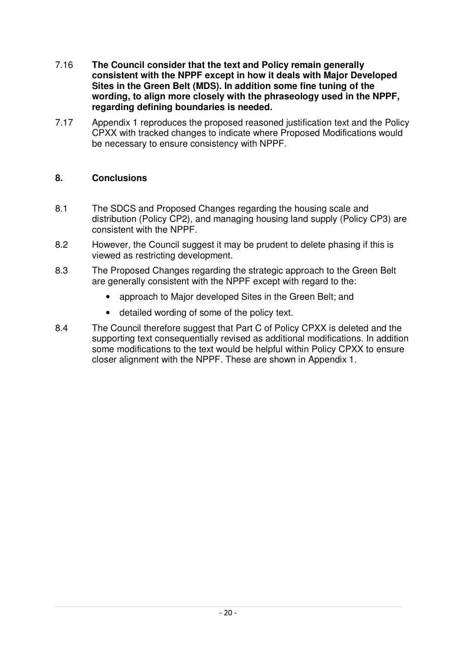- 7.16 **The Council consider that the text and Policy remain generally consistent with the NPPF except in how it deals with Major Developed Sites in the Green Belt (MDS). In addition some fine tuning of the wording, to align more closely with the phraseology used in the NPPF, regarding defining boundaries is needed.**
- 7.17 Appendix 1 reproduces the proposed reasoned justification text and the Policy CPXX with tracked changes to indicate where Proposed Modifications would be necessary to ensure consistency with NPPF.

# **8. Conclusions**

- 8.1 The SDCS and Proposed Changes regarding the housing scale and distribution (Policy CP2), and managing housing land supply (Policy CP3) are consistent with the NPPF.
- 8.2 However, the Council suggest it may be prudent to delete phasing if this is viewed as restricting development.
- 8.3 The Proposed Changes regarding the strategic approach to the Green Belt are generally consistent with the NPPF except with regard to the:
	- approach to Major developed Sites in the Green Belt; and
	- detailed wording of some of the policy text.
- 8.4 The Council therefore suggest that Part C of Policy CPXX is deleted and the supporting text consequentially revised as additional modifications. In addition some modifications to the text would be helpful within Policy CPXX to ensure closer alignment with the NPPF. These are shown in Appendix 1.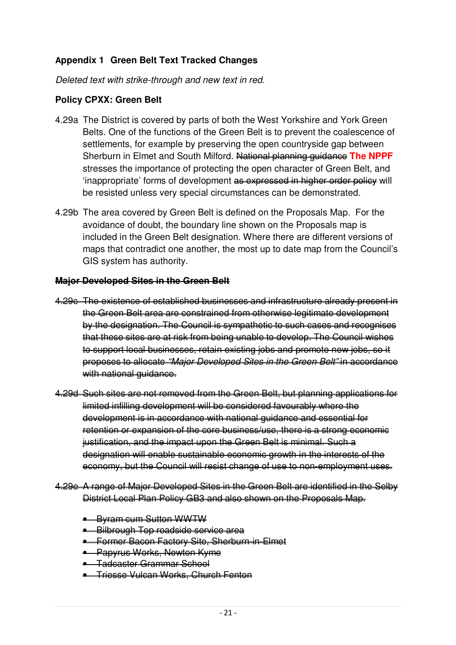# **Appendix 1 Green Belt Text Tracked Changes**

*Deleted text with strike-through and new text in red.*

# **Policy CPXX: Green Belt**

- 4.29a The District is covered by parts of both the West Yorkshire and York Green Belts. One of the functions of the Green Belt is to prevent the coalescence of settlements, for example by preserving the open countryside gap between Sherburn in Elmet and South Milford. National planning guidance **The NPPF** stresses the importance of protecting the open character of Green Belt, and 'inappropriate' forms of development as expressed in higher order policy will be resisted unless very special circumstances can be demonstrated.
- 4.29b The area covered by Green Belt is defined on the Proposals Map. For the avoidance of doubt, the boundary line shown on the Proposals map is included in the Green Belt designation. Where there are different versions of maps that contradict one another, the most up to date map from the Council's GIS system has authority.

## **Major Developed Sites in the Green Belt**

- 4.29c The existence of established businesses and infrastructure already present in the Green Belt area are constrained from otherwise legitimate development by the designation. The Council is sympathetic to such cases and recognises that these sites are at risk from being unable to develop. The Council wishes to support local businesses, retain existing jobs and promote new jobs, so it proposes to allocate *"Major Developed Sites in the Green Belt"* in accordance with national quidance.
- 4.29d Such sites are not removed from the Green Belt, but planning applications for limited infilling development will be considered favourably where the development is in accordance with national guidance and essential for retention or expansion of the core business/use, there is a strong economic justification, and the impact upon the Green Belt is minimal. Such a designation will enable sustainable economic growth in the interests of the economy, but the Council will resist change of use to non-employment uses.
- 4.29e A range of Major Developed Sites in the Green Belt are identified in the Selby District Local Plan Policy GB3 and also shown on the Proposals Map.
	- **Byram cum Sutton WWTW**
	- **Bilbrough Top roadside service area**
	- **•** Former Bacon Factory Site, Sherburn-in-Elmet
	- Papyrus Works, Newton Kyme
	- Tadcaster Grammar School
	- Triesse Vulcan Works, Church Fenton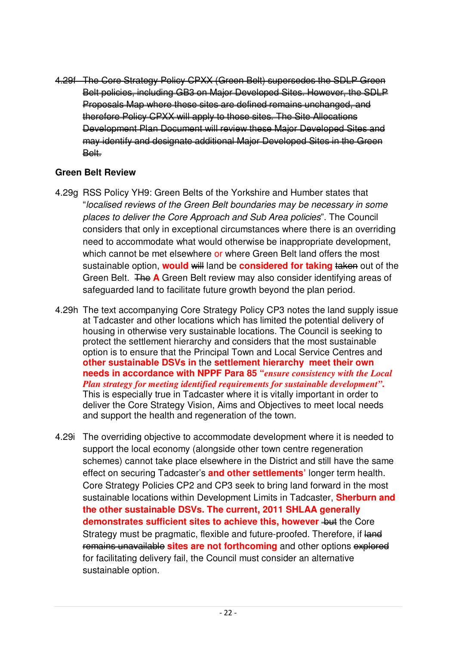4.29f The Core Strategy Policy CPXX (Green Belt) supersedes the SDLP Green Belt policies, including GB3 on Major Developed Sites. However, the SDLP Proposals Map where these sites are defined remains unchanged, and therefore Policy CPXX will apply to those sites. The Site Allocations Development Plan Document will review these Major Developed Sites and may identify and designate additional Major Developed Sites in the Green Belt.

# **Green Belt Review**

- 4.29g RSS Policy YH9: Green Belts of the Yorkshire and Humber states that "*localised reviews of the Green Belt boundaries may be necessary in some places to deliver the Core Approach and Sub Area policies*". The Council considers that only in exceptional circumstances where there is an overriding need to accommodate what would otherwise be inappropriate development, which cannot be met elsewhere or where Green Belt land offers the most sustainable option, **would** will land be **considered for taking** taken out of the Green Belt. The **A** Green Belt review may also consider identifying areas of safeguarded land to facilitate future growth beyond the plan period.
- 4.29h The text accompanying Core Strategy Policy CP3 notes the land supply issue at Tadcaster and other locations which has limited the potential delivery of housing in otherwise very sustainable locations. The Council is seeking to protect the settlement hierarchy and considers that the most sustainable option is to ensure that the Principal Town and Local Service Centres and **other sustainable DSVs in** the **settlement hierarchy meet their own needs in accordance with NPPF Para 85 "***ensure consistency with the Local Plan strategy for meeting identified requirements for sustainable development"***.** This is especially true in Tadcaster where it is vitally important in order to deliver the Core Strategy Vision, Aims and Objectives to meet local needs and support the health and regeneration of the town.
- 4.29i The overriding objective to accommodate development where it is needed to support the local economy (alongside other town centre regeneration schemes) cannot take place elsewhere in the District and still have the same effect on securing Tadcaster's **and other settlements'** longer term health. Core Strategy Policies CP2 and CP3 seek to bring land forward in the most sustainable locations within Development Limits in Tadcaster, **Sherburn and the other sustainable DSVs. The current, 2011 SHLAA generally demonstrates sufficient sites to achieve this, however but the Core** Strategy must be pragmatic, flexible and future-proofed. Therefore, if land remains unavailable **sites are not forthcoming** and other options explored for facilitating delivery fail, the Council must consider an alternative sustainable option.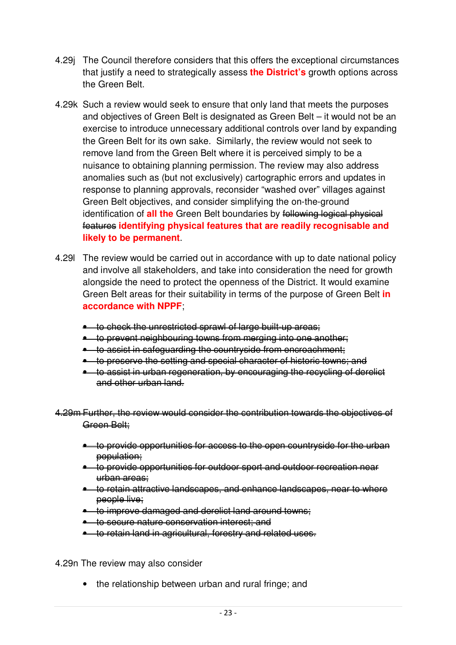- 4.29j The Council therefore considers that this offers the exceptional circumstances that justify a need to strategically assess **the District's** growth options across the Green Belt.
- 4.29k Such a review would seek to ensure that only land that meets the purposes and objectives of Green Belt is designated as Green Belt – it would not be an exercise to introduce unnecessary additional controls over land by expanding the Green Belt for its own sake. Similarly, the review would not seek to remove land from the Green Belt where it is perceived simply to be a nuisance to obtaining planning permission. The review may also address anomalies such as (but not exclusively) cartographic errors and updates in response to planning approvals, reconsider "washed over" villages against Green Belt objectives, and consider simplifying the on-the-ground identification of **all the** Green Belt boundaries by following logical physical features **identifying physical features that are readily recognisable and likely to be permanent**.
- 4.29l The review would be carried out in accordance with up to date national policy and involve all stakeholders, and take into consideration the need for growth alongside the need to protect the openness of the District. It would examine Green Belt areas for their suitability in terms of the purpose of Green Belt **in accordance with NPPF**;
	- to check the unrestricted sprawl of large built up areas;
	- to prevent neighbouring towns from merging into one another;
	- to assist in safeguarding the countryside from encroachment;
	- to preserve the setting and special character of historic towns; and
	- **•** to assist in urban regeneration, by encouraging the recycling of derelict and other urban land.
- 4.29m Further, the review would consider the contribution towards the objectives of Green Belt:
	- to provide opportunities for access to the open countryside for the urban population;
	- to provide opportunities for outdoor sport and outdoor recreation near urban areas;
	- to retain attractive landscapes, and enhance landscapes, near to where people live;
	- to improve damaged and derelict land around towns;
	- **•** to secure nature conservation interest; and
	- **•** to retain land in agricultural, forestry and related uses.
- 4.29n The review may also consider
	- the relationship between urban and rural fringe; and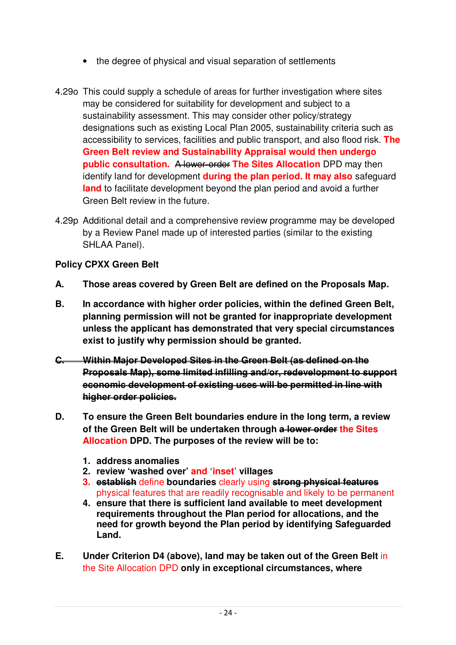- the degree of physical and visual separation of settlements
- 4.29o This could supply a schedule of areas for further investigation where sites may be considered for suitability for development and subject to a sustainability assessment. This may consider other policy/strategy designations such as existing Local Plan 2005, sustainability criteria such as accessibility to services, facilities and public transport, and also flood risk. **The Green Belt review and Sustainability Appraisal would then undergo public consultation.** A lower order **The Sites Allocation** DPD may then identify land for development **during the plan period. It may also** safeguard **land** to facilitate development beyond the plan period and avoid a further Green Belt review in the future.
- 4.29p Additional detail and a comprehensive review programme may be developed by a Review Panel made up of interested parties (similar to the existing SHLAA Panel).

# **Policy CPXX Green Belt**

- **A. Those areas covered by Green Belt are defined on the Proposals Map.**
- **B. In accordance with higher order policies, within the defined Green Belt, planning permission will not be granted for inappropriate development unless the applicant has demonstrated that very special circumstances exist to justify why permission should be granted.**
- **C. Within Major Developed Sites in the Green Belt (as defined on the Proposals Map), some limited infilling and/or, redevelopment to support economic development of existing uses will be permitted in line with higher order policies.**
- **D. To ensure the Green Belt boundaries endure in the long term, a review of the Green Belt will be undertaken through a lower order the Sites Allocation DPD. The purposes of the review will be to:**
	- **1. address anomalies**
	- **2. review 'washed over' and 'inset' villages**
	- **3. establish** define **boundaries** clearly using **strong physical features** physical features that are readily recognisable and likely to be permanent
	- **4. ensure that there is sufficient land available to meet development requirements throughout the Plan period for allocations, and the need for growth beyond the Plan period by identifying Safeguarded Land.**
- **E. Under Criterion D4 (above), land may be taken out of the Green Belt** in the Site Allocation DPD **only in exceptional circumstances, where**